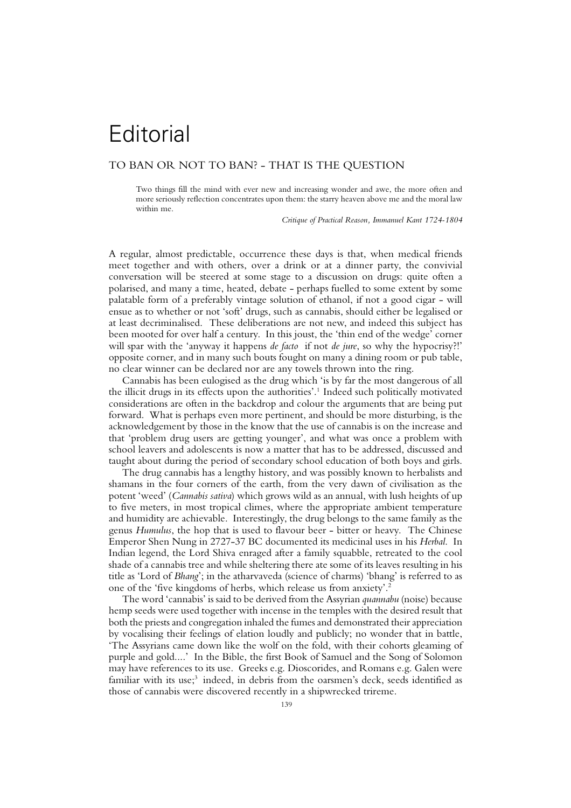## **Editorial**

## TO BAN OR NOT TO BAN? - THAT IS THE QUESTION

Two things fill the mind with ever new and increasing wonder and awe, the more often and more seriously reflection concentrates upon them: the starry heaven above me and the moral law within me.

*Critique of Practical Reason, Immanuel Kant 1724-1804*

A regular, almost predictable, occurrence these days is that, when medical friends meet together and with others, over a drink or at a dinner party, the convivial conversation will be steered at some stage to a discussion on drugs: quite often a polarised, and many a time, heated, debate - perhaps fuelled to some extent by some palatable form of a preferably vintage solution of ethanol, if not a good cigar - will ensue as to whether or not 'soft' drugs, such as cannabis, should either be legalised or at least decriminalised. These deliberations are not new, and indeed this subject has been mooted for over half a century. In this joust, the 'thin end of the wedge' corner will spar with the 'anyway it happens *de facto* if not *de jure*, so why the hypocrisy?!' opposite corner, and in many such bouts fought on many a dining room or pub table, no clear winner can be declared nor are any towels thrown into the ring.

Cannabis has been eulogised as the drug which 'is by far the most dangerous of all the illicit drugs in its effects upon the authorities'.<sup>1</sup> Indeed such politically motivated considerations are often in the backdrop and colour the arguments that are being put forward. What is perhaps even more pertinent, and should be more disturbing, is the acknowledgement by those in the know that the use of cannabis is on the increase and that 'problem drug users are getting younger', and what was once a problem with school leavers and adolescents is now a matter that has to be addressed, discussed and taught about during the period of secondary school education of both boys and girls.

The drug cannabis has a lengthy history, and was possibly known to herbalists and shamans in the four corners of the earth, from the very dawn of civilisation as the potent 'weed' (*Cannabis sativa*) which grows wild as an annual, with lush heights of up to five meters, in most tropical climes, where the appropriate ambient temperature and humidity are achievable. Interestingly, the drug belongs to the same family as the genus *Humulus*, the hop that is used to flavour beer - bitter or heavy. The Chinese Emperor Shen Nung in 2727-37 BC documented its medicinal uses in his *Herbal*. In Indian legend, the Lord Shiva enraged after a family squabble, retreated to the cool shade of a cannabis tree and while sheltering there ate some of its leaves resulting in his title as 'Lord of *Bhang*'; in the atharvaveda (science of charms) 'bhang' is referred to as one of the 'five kingdoms of herbs, which release us from anxiety'.<sup>2</sup>

The word 'cannabis' is said to be derived from the Assyrian *quannabu* (noise) because hemp seeds were used together with incense in the temples with the desired result that both the priests and congregation inhaled the fumes and demonstrated their appreciation by vocalising their feelings of elation loudly and publicly; no wonder that in battle, 'The Assyrians came down like the wolf on the fold, with their cohorts gleaming of purple and gold....' In the Bible, the first Book of Samuel and the Song of Solomon may have references to its use. Greeks e.g. Dioscorides, and Romans e.g. Galen were familiar with its use;<sup>3</sup> indeed, in debris from the oarsmen's deck, seeds identified as those of cannabis were discovered recently in a shipwrecked trireme.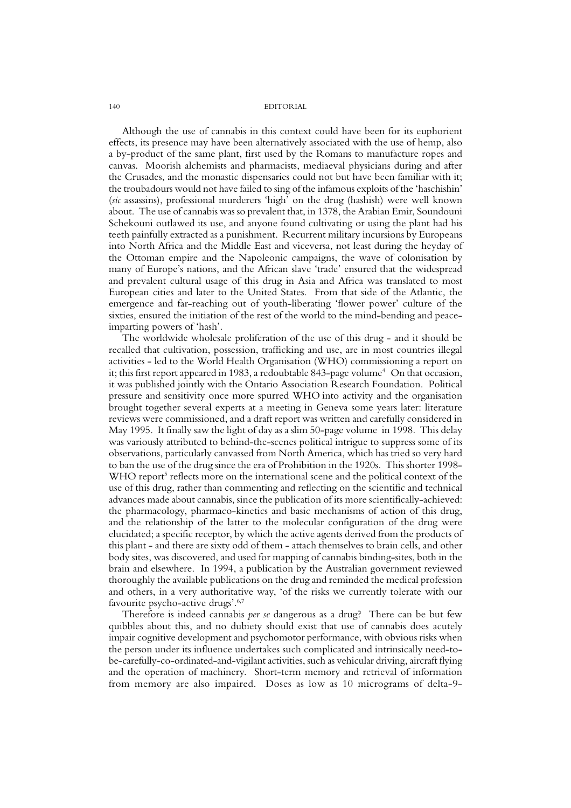## 140 EDITORIAL

Although the use of cannabis in this context could have been for its euphorient effects, its presence may have been alternatively associated with the use of hemp, also a by-product of the same plant, first used by the Romans to manufacture ropes and canvas. Moorish alchemists and pharmacists, mediaeval physicians during and after the Crusades, and the monastic dispensaries could not but have been familiar with it; the troubadours would not have failed to sing of the infamous exploits of the 'haschishin' (*sic* assassins), professional murderers 'high' on the drug (hashish) were well known about. The use of cannabis was so prevalent that, in 1378, the Arabian Emir, Soundouni Schekouni outlawed its use, and anyone found cultivating or using the plant had his teeth painfully extracted as a punishment. Recurrent military incursions by Europeans into North Africa and the Middle East and viceversa, not least during the heyday of the Ottoman empire and the Napoleonic campaigns, the wave of colonisation by many of Europe's nations, and the African slave 'trade' ensured that the widespread and prevalent cultural usage of this drug in Asia and Africa was translated to most European cities and later to the United States. From that side of the Atlantic, the emergence and far-reaching out of youth-liberating 'flower power' culture of the sixties, ensured the initiation of the rest of the world to the mind-bending and peaceimparting powers of 'hash'.

The worldwide wholesale proliferation of the use of this drug - and it should be recalled that cultivation, possession, trafficking and use, are in most countries illegal activities - led to the World Health Organisation (WHO) commissioning a report on it; this first report appeared in 1983, a redoubtable 843-page volume<sup>4</sup> On that occasion, it was published jointly with the Ontario Association Research Foundation. Political pressure and sensitivity once more spurred WHO into activity and the organisation brought together several experts at a meeting in Geneva some years later: literature reviews were commissioned, and a draft report was written and carefully considered in May 1995. It finally saw the light of day as a slim 50-page volume in 1998. This delay was variously attributed to behind-the-scenes political intrigue to suppress some of its observations, particularly canvassed from North America, which has tried so very hard to ban the use of the drug since the era of Prohibition in the 1920s. This shorter 1998- WHO report<sup>5</sup> reflects more on the international scene and the political context of the use of this drug, rather than commenting and reflecting on the scientific and technical advances made about cannabis, since the publication of its more scientifically-achieved: the pharmacology, pharmaco-kinetics and basic mechanisms of action of this drug, and the relationship of the latter to the molecular configuration of the drug were elucidated; a specific receptor, by which the active agents derived from the products of this plant - and there are sixty odd of them - attach themselves to brain cells, and other body sites, was discovered, and used for mapping of cannabis binding-sites, both in the brain and elsewhere. In 1994, a publication by the Australian government reviewed thoroughly the available publications on the drug and reminded the medical profession and others, in a very authoritative way, 'of the risks we currently tolerate with our favourite psycho-active drugs'.6,7

Therefore is indeed cannabis *per se* dangerous as a drug? There can be but few quibbles about this, and no dubiety should exist that use of cannabis does acutely impair cognitive development and psychomotor performance, with obvious risks when the person under its influence undertakes such complicated and intrinsically need-tobe-carefully-co-ordinated-and-vigilant activities, such as vehicular driving, aircraft flying and the operation of machinery. Short-term memory and retrieval of information from memory are also impaired. Doses as low as 10 micrograms of delta-9-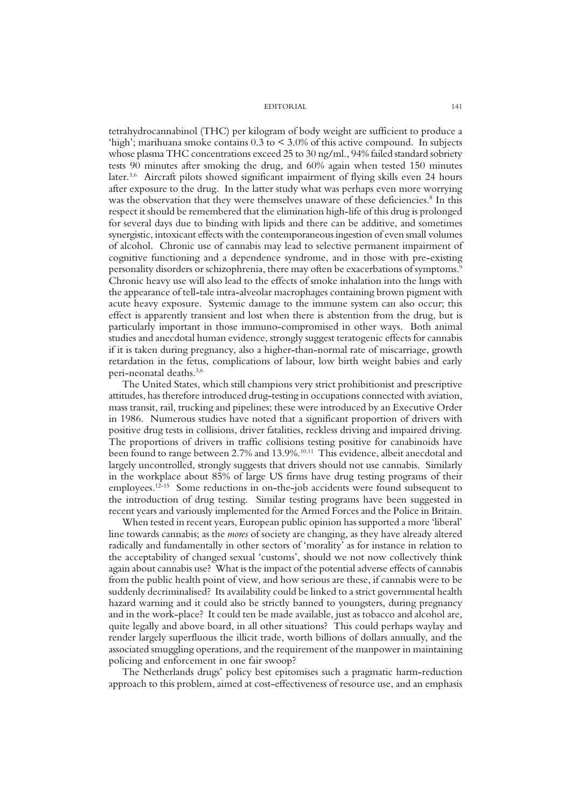EDITORIAL 141

tetrahydrocannabinol (THC) per kilogram of body weight are sufficient to produce a 'high'; marihuana smoke contains 0.3 to < 3.0% of this active compound. In subjects whose plasma THC concentrations exceed 25 to 30 ng/ml., 94% failed standard sobriety tests 90 minutes after smoking the drug, and 60% again when tested 150 minutes later.3,6 Aircraft pilots showed significant impairment of flying skills even 24 hours after exposure to the drug. In the latter study what was perhaps even more worrying was the observation that they were themselves unaware of these deficiencies.<sup>8</sup> In this respect it should be remembered that the elimination high-life of this drug is prolonged for several days due to binding with lipids and there can be additive, and sometimes synergistic, intoxicant effects with the contemporaneous ingestion of even small volumes of alcohol. Chronic use of cannabis may lead to selective permanent impairment of cognitive functioning and a dependence syndrome, and in those with pre-existing personality disorders or schizophrenia, there may often be exacerbations of symptoms.9 Chronic heavy use will also lead to the effects of smoke inhalation into the lungs with the appearance of tell-tale intra-alveolar macrophages containing brown pigment with acute heavy exposure. Systemic damage to the immune system can also occur; this effect is apparently transient and lost when there is abstention from the drug, but is particularly important in those immuno-compromised in other ways. Both animal studies and anecdotal human evidence, strongly suggest teratogenic effects for cannabis if it is taken during pregnancy, also a higher-than-normal rate of miscarriage, growth retardation in the fetus, complications of labour, low birth weight babies and early peri-neonatal deaths.3,6

The United States, which still champions very strict prohibitionist and prescriptive attitudes, has therefore introduced drug-testing in occupations connected with aviation, mass transit, rail, trucking and pipelines; these were introduced by an Executive Order in 1986. Numerous studies have noted that a significant proportion of drivers with positive drug tests in collisions, driver fatalities, reckless driving and impaired driving. The proportions of drivers in traffic collisions testing positive for canabinoids have been found to range between 2.7% and 13.9%.<sup>10,11</sup> This evidence, albeit anecdotal and largely uncontrolled, strongly suggests that drivers should not use cannabis. Similarly in the workplace about 85% of large US firms have drug testing programs of their employees.12-15 Some reductions in on-the-job accidents were found subsequent to the introduction of drug testing. Similar testing programs have been suggested in recent years and variously implemented for the Armed Forces and the Police in Britain.

When tested in recent years, European public opinion has supported a more 'liberal' line towards cannabis; as the *mores* of society are changing, as they have already altered radically and fundamentally in other sectors of 'morality' as for instance in relation to the acceptability of changed sexual 'customs', should we not now collectively think again about cannabis use? What is the impact of the potential adverse effects of cannabis from the public health point of view, and how serious are these, if cannabis were to be suddenly decriminalised? Its availability could be linked to a strict governmental health hazard warning and it could also be strictly banned to youngsters, during pregnancy and in the work-place? It could ten be made available, just as tobacco and alcohol are, quite legally and above board, in all other situations? This could perhaps waylay and render largely superfluous the illicit trade, worth billions of dollars annually, and the associated smuggling operations, and the requirement of the manpower in maintaining policing and enforcement in one fair swoop?

The Netherlands drugs' policy best epitomises such a pragmatic harm-reduction approach to this problem, aimed at cost-effectiveness of resource use, and an emphasis